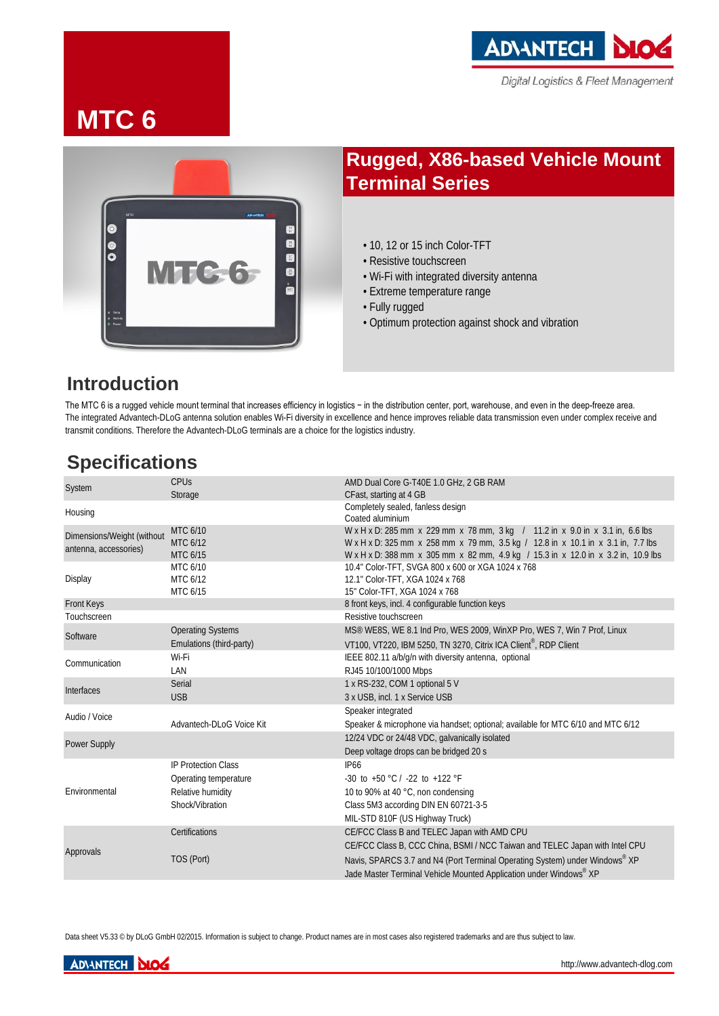

# **MTC 6**



# **Rugged, X86-based Vehicle Mount Terminal Series**

- 10, 12 or 15 inch Color-TFT
- Resistive touchscreen
- Wi-Fi with integrated diversity antenna
- Extreme temperature range
- Fully rugged
- Optimum protection against shock and vibration

## **Introduction**

The MTC 6 is a rugged vehicle mount terminal that increases efficiency in logistics − in the distribution center, port, warehouse, and even in the deep-freeze area. The integrated Advantech-DLoG antenna solution enables Wi-Fi diversity in excellence and hence improves reliable data transmission even under complex receive and transmit conditions. Therefore the Advantech-DLoG terminals are a choice for the logistics industry.

## **Specifications**

| System                                              | <b>CPU<sub>S</sub></b><br>Storage | AMD Dual Core G-T40E 1.0 GHz, 2 GB RAM<br>CFast, starting at 4 GB                                                                                                                                                                                      |
|-----------------------------------------------------|-----------------------------------|--------------------------------------------------------------------------------------------------------------------------------------------------------------------------------------------------------------------------------------------------------|
| Housing                                             |                                   | Completely sealed, fanless design<br>Coated aluminium                                                                                                                                                                                                  |
| Dimensions/Weight (without<br>antenna, accessories) | MTC 6/10<br>MTC 6/12<br>MTC 6/15  | W x H x D: 285 mm x 229 mm x 78 mm, 3 kg / 11.2 in x 9.0 in x 3.1 in, 6.6 lbs<br>W x H x D: 325 mm x 258 mm x 79 mm, 3.5 kg / 12.8 in x 10.1 in x 3.1 in, 7.7 lbs<br>W x H x D: 388 mm x 305 mm x 82 mm, 4.9 kg / 15.3 in x 12.0 in x 3.2 in, 10.9 lbs |
| Display                                             | MTC 6/10<br>MTC 6/12<br>MTC 6/15  | 10.4" Color-TFT, SVGA 800 x 600 or XGA 1024 x 768<br>12.1" Color-TFT, XGA 1024 x 768<br>15" Color-TFT, XGA 1024 x 768                                                                                                                                  |
| Front Keys                                          |                                   | 8 front keys, incl. 4 configurable function keys                                                                                                                                                                                                       |
| Touchscreen                                         |                                   | Resistive touchscreen                                                                                                                                                                                                                                  |
| Software                                            | <b>Operating Systems</b>          | MS <sup>®</sup> WE8S, WE 8.1 Ind Pro, WES 2009, WinXP Pro, WES 7, Win 7 Prof, Linux                                                                                                                                                                    |
|                                                     | Emulations (third-party)          | VT100, VT220, IBM 5250, TN 3270, Citrix ICA Client®, RDP Client                                                                                                                                                                                        |
| Communication                                       | Wi-Fi                             | IEEE 802.11 a/b/g/n with diversity antenna, optional                                                                                                                                                                                                   |
|                                                     | LAN                               | RJ45 10/100/1000 Mbps                                                                                                                                                                                                                                  |
| Interfaces                                          | Serial                            | 1 x RS-232, COM 1 optional 5 V                                                                                                                                                                                                                         |
|                                                     | <b>USB</b>                        | 3 x USB, incl. 1 x Service USB                                                                                                                                                                                                                         |
| Audio / Voice                                       |                                   | Speaker integrated                                                                                                                                                                                                                                     |
|                                                     | Advantech-DLoG Voice Kit          | Speaker & microphone via handset; optional; available for MTC 6/10 and MTC 6/12                                                                                                                                                                        |
| <b>Power Supply</b>                                 |                                   | 12/24 VDC or 24/48 VDC, galvanically isolated                                                                                                                                                                                                          |
|                                                     |                                   | Deep voltage drops can be bridged 20 s                                                                                                                                                                                                                 |
| Environmental                                       | <b>IP Protection Class</b>        | <b>IP66</b>                                                                                                                                                                                                                                            |
|                                                     | Operating temperature             | -30 to +50 °C / -22 to +122 °F                                                                                                                                                                                                                         |
|                                                     | Relative humidity                 | 10 to 90% at 40 °C, non condensing                                                                                                                                                                                                                     |
|                                                     | Shock/Vibration                   | Class 5M3 according DIN EN 60721-3-5                                                                                                                                                                                                                   |
|                                                     |                                   | MIL-STD 810F (US Highway Truck)                                                                                                                                                                                                                        |
| Approvals                                           | Certifications                    | CE/FCC Class B and TELEC Japan with AMD CPU                                                                                                                                                                                                            |
|                                                     |                                   | CE/FCC Class B, CCC China, BSMI / NCC Taiwan and TELEC Japan with Intel CPU                                                                                                                                                                            |
|                                                     | TOS (Port)                        | Navis, SPARCS 3.7 and N4 (Port Terminal Operating System) under Windows® XP<br>Jade Master Terminal Vehicle Mounted Application under Windows® XP                                                                                                      |

Data sheet V5.33 <sup>©</sup> by DLoG GmbH 02/2015. Information is subject to change. Product names are in most cases also registered trademarks and are thus subject to law.